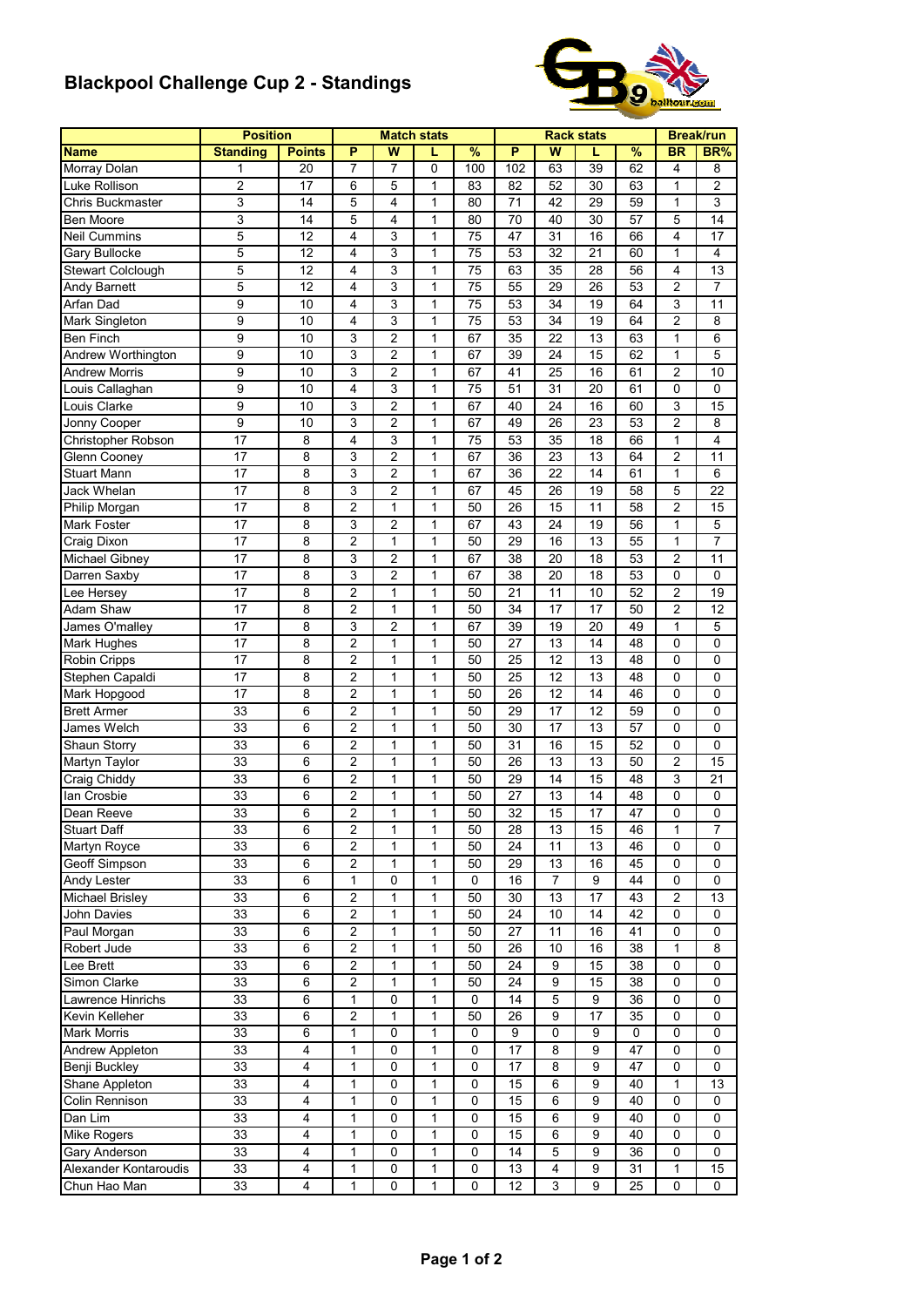## **Blackpool Challenge Cup 2 - Standings**



|                       | <b>Position</b> |                         |                |                | <b>Match stats</b> |               |     |                  | <b>Rack stats</b> |               |                | <b>Break/run</b> |
|-----------------------|-----------------|-------------------------|----------------|----------------|--------------------|---------------|-----|------------------|-------------------|---------------|----------------|------------------|
| <b>Name</b>           | <b>Standing</b> | <b>Points</b>           | P              | W              |                    | $\frac{9}{6}$ | P   | W                | L                 | $\frac{9}{6}$ | <b>BR</b>      | BR%              |
| Morray Dolan          | 1               | 20                      | 7              | 7              | 0                  | 100           | 102 | 63               | 39                | 62            | 4              | 8                |
| Luke Rollison         | $\overline{c}$  | 17                      | 6              | 5              | $\mathbf{1}$       | 83            | 82  | 52               | 30                | 63            | 1              | $\overline{2}$   |
| Chris Buckmaster      | 3               | 14                      | 5              | 4              | $\mathbf 1$        | 80            | 71  | 42               | 29                | 59            | $\mathbf{1}$   | 3                |
| Ben Moore             | 3               | 14                      | 5              | 4              | $\mathbf{1}$       | 80            | 70  | 40               | 30                | 57            | 5              | 14               |
| <b>Neil Cummins</b>   | 5               | 12                      | 4              | 3              | 1                  | 75            | 47  | 31               | 16                | 66            | 4              | 17               |
| Gary Bullocke         | 5               | 12                      | 4              | 3              | 1                  | 75            | 53  | 32               | 21                | 60            | 1              | 4                |
| Stewart Colclough     | 5               | 12                      | 4              | 3              | 1                  | 75            | 63  | 35               | 28                | 56            | 4              | 13               |
| <b>Andy Barnett</b>   | 5               | $\overline{12}$         | 4              | 3              | 1                  | 75            | 55  | $\overline{29}$  | 26                | 53            | $\overline{c}$ | $\overline{7}$   |
| Arfan Dad             | 9               | 10                      | 4              | 3              | 1                  | 75            | 53  | 34               | 19                | 64            | 3              | 11               |
| Mark Singleton        | 9               | 10                      | 4              | 3              | 1                  | 75            | 53  | 34               | 19                | 64            | 2              | 8                |
| <b>Ben Finch</b>      | 9               | 10                      | 3              | $\overline{c}$ | 1                  | 67            | 35  | 22               | 13                | 63            | 1              | 6                |
| Andrew Worthington    | 9               | 10                      | 3              | $\overline{2}$ | 1                  | 67            | 39  | 24               | 15                | 62            | 1              | 5                |
| <b>Andrew Morris</b>  | 9               | 10                      | 3              | $\overline{2}$ | $\mathbf{1}$       | 67            | 41  | 25               | 16                | 61            | $\overline{c}$ | 10               |
|                       | 9               | 10                      | 4              | 3              |                    | 75            | 51  | 31               | 20                | 61            | 0              | 0                |
| Louis Callaghan       |                 |                         |                |                | 1                  |               |     |                  |                   |               |                |                  |
| Louis Clarke          | 9               | 10                      | 3              | $\overline{c}$ | $\mathbf{1}$       | 67            | 40  | 24               | 16                | 60            | 3              | 15               |
| Jonny Cooper          | 9               | 10                      | 3              | $\overline{c}$ | $\mathbf{1}$       | 67            | 49  | 26               | 23                | 53            | $\overline{2}$ | 8                |
| Christopher Robson    | 17              | 8                       | 4              | 3              | 1                  | 75            | 53  | 35               | 18                | 66            | 1              | $\overline{4}$   |
| Glenn Cooney          | 17              | 8                       | 3              | $\overline{c}$ | 1                  | 67            | 36  | 23               | 13                | 64            | 2              | 11               |
| <b>Stuart Mann</b>    | 17              | 8                       | 3              | $\overline{2}$ | 1                  | 67            | 36  | 22               | 14                | 61            | $\mathbf{1}$   | 6                |
| Jack Whelan           | 17              | 8                       | 3              | $\overline{2}$ | 1                  | 67            | 45  | 26               | 19                | 58            | 5              | 22               |
| Philip Morgan         | 17              | 8                       | $\overline{2}$ | 1              | 1                  | 50            | 26  | 15               | 11                | 58            | 2              | 15               |
| Mark Foster           | 17              | 8                       | 3              | $\overline{c}$ | 1                  | 67            | 43  | 24               | 19                | 56            | 1              | 5                |
| Craig Dixon           | 17              | 8                       | $\overline{2}$ | 1              | 1                  | 50            | 29  | 16               | 13                | 55            | 1              | 7                |
| Michael Gibney        | 17              | 8                       | 3              | $\overline{2}$ | 1                  | 67            | 38  | 20               | 18                | 53            | $\overline{2}$ | 11               |
| Darren Saxby          | 17              | 8                       | 3              | $\overline{2}$ | 1                  | 67            | 38  | 20               | 18                | 53            | 0              | 0                |
| Lee Hersev            | 17              | 8                       | $\overline{2}$ | 1              | 1                  | 50            | 21  | 11               | 10                | 52            | 2              | 19               |
| Adam Shaw             | 17              | 8                       | $\overline{2}$ | $\mathbf{1}$   | $\mathbf{1}$       | 50            | 34  | 17               | 17                | 50            | $\overline{c}$ | 12               |
| James O'malley        | 17              | 8                       | 3              | $\overline{2}$ | 1                  | 67            | 39  | 19               | 20                | 49            | 1              | 5                |
| Mark Hughes           | 17              | 8                       | $\overline{c}$ | 1              | 1                  | 50            | 27  | 13               | 14                | 48            | 0              | 0                |
|                       | 17              | 8                       | $\overline{2}$ | 1              | 1                  | 50            | 25  | 12               | 13                | 48            | 0              | $\Omega$         |
| Robin Cripps          |                 |                         |                |                |                    |               |     |                  |                   |               |                |                  |
| Stephen Capaldi       | 17              | 8                       | $\overline{2}$ | 1              | 1                  | 50            | 25  | 12               | 13                | 48            | 0              | 0                |
| Mark Hopgood          | 17              | 8                       | $\overline{2}$ | 1              | 1                  | 50            | 26  | 12               | 14                | 46            | 0              | 0                |
| <b>Brett Armer</b>    | 33              | 6                       | $\overline{c}$ | 1              | 1                  | 50            | 29  | 17               | 12                | 59            | 0              | 0                |
| James Welch           | 33              | 6                       | 2              | 1              | 1                  | 50            | 30  | 17               | 13                | 57            | 0              | 0                |
| Shaun Storry          | 33              | 6                       | $\overline{2}$ | 1              | 1                  | 50            | 31  | 16               | 15                | 52            | 0              | 0                |
| Martyn Taylor         | 33              | 6                       | $\overline{2}$ | 1              | 1                  | 50            | 26  | 13               | 13                | 50            | 2              | 15               |
| Craig Chiddy          | 33              | 6                       | $\overline{2}$ | 1              | 1                  | 50            | 29  | 14               | 15                | 48            | 3              | 21               |
| lan Crosbie           | 33              | 6                       | 2              | 1              | 1                  | 50            | 27  | 13               | 14                | 48            | 0              | $\mathbf 0$      |
| Dean Reeve            | 33              | 6                       | $\overline{c}$ | 1              | 1                  | 50            | 32  | 15               | 17                | 47            | 0              | $\Omega$         |
| <b>Stuart Daff</b>    | 33              | 6                       | 2              | 1              | 1                  | 50            | 28  | 13               | 15                | 46            | 1              | 7                |
| Martyn Royce          | 33              | 6                       | 2              | 1              | 1                  | 50            | 24  | 11               | 13                | 46            | 0              | 0                |
| Geoff Simpson         | 33              | 6                       | $\overline{c}$ | $\mathbf{1}$   | $\mathbf 1$        | 50            | 29  | 13               | 16                | 45            | 0              | 0                |
| Andy Lester           | 33              | 6                       | $\mathbf{1}$   | 0              | $\mathbf 1$        | 0             | 16  | $\boldsymbol{7}$ | 9                 | 44            | 0              | 0                |
| Michael Brisley       | 33              | 6                       | 2              | 1              | 1                  | 50            | 30  | 13               | 17                | 43            | 2              | 13               |
| John Davies           | 33              | 6                       | 2              | 1              | 1                  | 50            | 24  | 10               | 14                | 42            | 0              | 0                |
| Paul Morgan           | 33              | 6                       | 2              | 1              | 1                  | 50            | 27  | 11               | 16                | 41            | 0              | 0                |
| Robert Jude           | 33              | 6                       | $\overline{c}$ | 1              | 1                  | 50            | 26  | 10               | 16                | 38            | 1              | 8                |
| Lee Brett             |                 |                         |                |                | 1                  | 50            | 24  | 9                | 15                |               |                |                  |
|                       | 33              | 6                       | 2              | 1              |                    |               |     |                  |                   | 38            | 0              | 0                |
| Simon Clarke          | 33              | 6                       | $\overline{2}$ | 1              | 1                  | 50            | 24  | 9                | 15                | 38            | 0              | 0                |
| Lawrence Hinrichs     | 33              | 6                       | 1              | 0              | 1                  | 0             | 14  | 5                | 9                 | 36            | 0              | 0                |
| Kevin Kelleher        | 33              | 6                       | 2              | 1              | 1                  | 50            | 26  | 9                | 17                | 35            | 0              | 0                |
| <b>Mark Morris</b>    | 33              | 6                       | 1              | 0              | $\mathbf{1}$       | 0             | 9   | 0                | 9                 | 0             | 0              | 0                |
| Andrew Appleton       | 33              | 4                       | 1              | 0              | $\mathbf{1}$       | $\mathbf 0$   | 17  | 8                | 9                 | 47            | 0              | 0                |
| Benji Buckley         | 33              | 4                       | 1              | 0              | 1                  | 0             | 17  | 8                | 9                 | 47            | 0              | 0                |
| Shane Appleton        | 33              | $\overline{\mathbf{4}}$ | 1              | $\pmb{0}$      | $\mathbf{1}$       | $\pmb{0}$     | 15  | 6                | 9                 | 40            | $\mathbf{1}$   | 13               |
| Colin Rennison        | 33              | 4                       | 1              | 0              | 1                  | 0             | 15  | 6                | 9                 | 40            | 0              | 0                |
| Dan Lim               | 33              | 4                       | 1              | 0              | 1                  | 0             | 15  | 6                | 9                 | 40            | 0              | 0                |
| Mike Rogers           | 33              | 4                       | 1              | 0              | 1                  | 0             | 15  | 6                | 9                 | 40            | 0              | 0                |
| Gary Anderson         | 33              | 4                       | 1              | 0              | 1                  | 0             | 14  | 5                | 9                 | 36            | 0              | 0                |
| Alexander Kontaroudis | 33              | 4                       | 1              | 0              | 1                  | $\mathbf 0$   | 13  | 4                | 9                 | 31            | 1              | 15               |
| Chun Hao Man          | 33              | 4                       | 1              | 0              | 1                  | 0             | 12  | 3                | 9                 | 25            | 0              | 0                |
|                       |                 |                         |                |                |                    |               |     |                  |                   |               |                |                  |